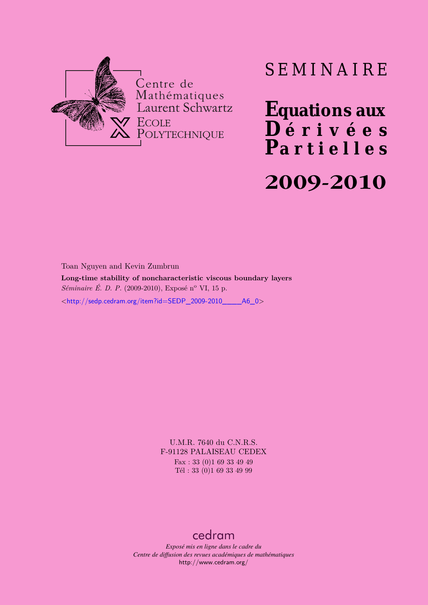

# SEMINAIRE

**Equations aux**  $\overline{\mathbf{D}}$  érivées **Partielles**

# **2009-2010**

Toan Nguyen and Kevin Zumbrun

**Long-time stability of noncharacteristic viscous boundary layers** *Séminaire É. D. P.* (2009-2010), Exposé n<sup>o</sup> VI, 15 p.

<[http://sedp.cedram.org/item?id=SEDP\\_2009-2010\\_\\_\\_\\_A6\\_0](http://sedp.cedram.org/item?id=SEDP_2009-2010____A6_0)>

U.M.R. 7640 du C.N.R.S. F-91128 PALAISEAU CEDEX Fax : 33 (0)1 69 33 49 49 Tél : 33 (0)1 69 33 49 99

# [cedram](http://www.cedram.org/)

*Exposé mis en ligne dans le cadre du Centre de diffusion des revues académiques de mathématiques* <http://www.cedram.org/>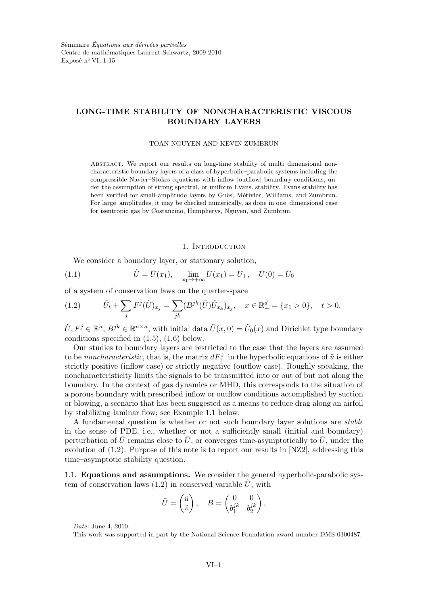## LONG-TIME STABILITY OF NONCHARACTERISTIC VISCOUS BOUNDARY LAYERS

#### TOAN NGUYEN AND KEVIN ZUMBRUN

Abstract. We report our results on long-time stability of multi–dimensional noncharacteristic boundary layers of a class of hyperbolic–parabolic systems including the compressible Navier–Stokes equations with inflow [outflow] boundary conditions, under the assumption of strong spectral, or uniform Evans, stability. Evans stability has been verified for small-amplitude layers by Guès, Métivier, Williams, and Zumbrun. For large–amplitudes, it may be checked numerically, as done in one–dimensional case for isentropic gas by Costanzino, Humpherys, Nguyen, and Zumbrun.

#### 1. INTRODUCTION

We consider a boundary layer, or stationary solution,

(1.1) 
$$
\tilde{U} = \bar{U}(x_1), \quad \lim_{x_1 \to +\infty} \bar{U}(x_1) = U_+, \quad \bar{U}(0) = \bar{U}_0
$$

of a system of conservation laws on the quarter-space

(1.2) 
$$
\tilde{U}_t + \sum_j F^j(\tilde{U})_{x_j} = \sum_{jk} (B^{jk}(\tilde{U}) \tilde{U}_{x_k})_{x_j}, \quad x \in \mathbb{R}^d_+ = \{x_1 > 0\}, \quad t > 0,
$$

 $\tilde{U}, F^j \in \mathbb{R}^n$ ,  $B^{jk} \in \mathbb{R}^{n \times n}$ , with initial data  $\tilde{U}(x, 0) = \tilde{U}_0(x)$  and Dirichlet type boundary conditions specified in (1.5), (1.6) below.

Our studies to boundary layers are restricted to the case that the layers are assumed to be *noncharacteristic*, that is, the matrix  $dF_{11}^1$  in the hyperbolic equations of  $\tilde{u}$  is either strictly positive (inflow case) or strictly negative (outflow case). Roughly speaking, the noncharacteristicity limits the signals to be transmitted into or out of but not along the boundary. In the context of gas dynamics or MHD, this corresponds to the situation of a porous boundary with prescribed inflow or outflow conditions accomplished by suction or blowing, a scenario that has been suggested as a means to reduce drag along an airfoil by stabilizing laminar flow; see Example 1.1 below.

A fundamental question is whether or not such boundary layer solutions are stable in the sense of PDE, i.e., whether or not a sufficiently small (initial and boundary) perturbation of  $\bar{U}$  remains close to  $\bar{U}$ , or converges time-asymptotically to  $\bar{U}$ , under the evolution of (1.2). Purpose of this note is to report our results in [NZ2], addressing this time–asymptotic stability question.

1.1. Equations and assumptions. We consider the general hyperbolic-parabolic system of conservation laws (1.2) in conserved variable  $\tilde{U}$ , with

$$
\tilde{U} = \begin{pmatrix} \tilde{u} \\ \tilde{v} \end{pmatrix}, \quad B = \begin{pmatrix} 0 & 0 \\ b_1^{jk} & b_2^{jk} \end{pmatrix},
$$

Date: June 4, 2010.

This work was supported in part by the National Science Foundation award number DMS-0300487.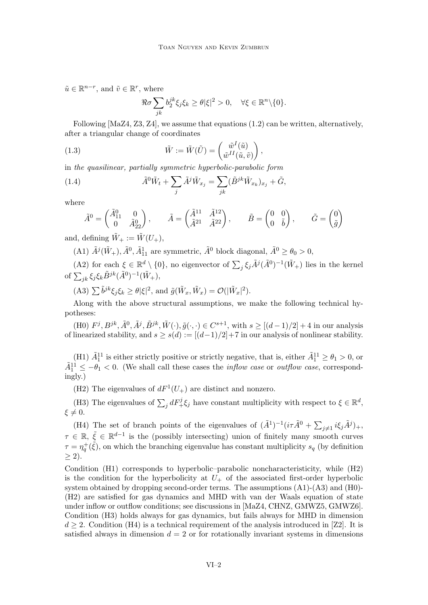$\tilde{u} \in \mathbb{R}^{n-r}$ , and  $\tilde{v} \in \mathbb{R}^r$ , where

$$
\Re \sigma \sum_{jk} b_2^{jk} \xi_j \xi_k \ge \theta |\xi|^2 > 0, \quad \forall \xi \in \mathbb{R}^n \backslash \{0\}.
$$

Following [MaZ4, Z3, Z4], we assume that equations (1.2) can be written, alternatively, after a triangular change of coordinates

(1.3) 
$$
\tilde{W} := \tilde{W}(\tilde{U}) = \begin{pmatrix} \tilde{w}^I(\tilde{u}) \\ \tilde{w}^I(\tilde{u}, \tilde{v}) \end{pmatrix},
$$

in the quasilinear, partially symmetric hyperbolic-parabolic form

(1.4) 
$$
\tilde{A}^0 \tilde{W}_t + \sum_j \tilde{A}^j \tilde{W}_{x_j} = \sum_{jk} (\tilde{B}^{jk} \tilde{W}_{x_k})_{x_j} + \tilde{G},
$$

where

$$
\tilde{A}^0 = \begin{pmatrix} \tilde{A}_{11}^0 & 0 \\ 0 & \tilde{A}_{22}^0 \end{pmatrix}, \qquad \tilde{A} = \begin{pmatrix} \tilde{A}^{11} & \tilde{A}^{12} \\ \tilde{A}^{21} & \tilde{A}^{22} \end{pmatrix}, \qquad \tilde{B} = \begin{pmatrix} 0 & 0 \\ 0 & \tilde{b} \end{pmatrix}, \qquad \tilde{G} = \begin{pmatrix} 0 \\ \tilde{g} \end{pmatrix}
$$

and, defining  $\tilde{W}_+ := \tilde{W}(U_+),$ 

(A1)  $\tilde{A}^j(\tilde{W}_+), \tilde{A}^0, \tilde{A}^1_{11}$  are symmetric,  $\tilde{A}^0$  block diagonal,  $\tilde{A}^0 \ge \theta_0 > 0$ ,

(A2) for each  $\xi \in \mathbb{R}^d \setminus \{0\}$ , no eigenvector of  $\sum_j \xi_j \tilde{A}^j (\tilde{A}^0)^{-1} (\tilde{W}_+)$  lies in the kernel of  $\sum_{jk} \xi_j \xi_k \tilde{B}^{jk} (\tilde{A}^0)^{-1} (\tilde{W}_+),$ 

(A3)  $\sum \tilde{b}^j k \xi_j \xi_k \ge \theta |\xi|^2$ , and  $\tilde{g}(\tilde{W}_x, \tilde{W}_x) = \mathcal{O}(|\tilde{W}_x|^2)$ .

Along with the above structural assumptions, we make the following technical hypotheses:

(H0)  $F^j, B^{jk}, \tilde{A}^0, \tilde{A}^j, \tilde{B}^{jk}, \tilde{W}(\cdot), \tilde{g}(\cdot, \cdot) \in C^{s+1}$ , with  $s \geq [(d-1)/2] + 4$  in our analysis of linearized stability, and  $s \ge s(d) := [(d-1)/2] + 7$  in our analysis of nonlinear stability.

(H1)  $\tilde{A}_1^{11}$  is either strictly positive or strictly negative, that is, either  $\tilde{A}_1^{11} \ge \theta_1 > 0$ , or  $\tilde{A}^{11}_{1} \leq -\theta_1 < 0$ . (We shall call these cases the *inflow case* or *outflow case*, correspondingly.)

(H2) The eigenvalues of  $dF^1(U_+)$  are distinct and nonzero.

(H3) The eigenvalues of  $\sum_j dF_+^j \xi_j$  have constant multiplicity with respect to  $\xi \in \mathbb{R}^d$ ,  $\xi \neq 0.$ 

(H4) The set of branch points of the eigenvalues of  $(\tilde{A}^1)^{-1}(i\tau \tilde{A}^0 + \sum_{j\neq 1} i\xi_j \tilde{A}^j)_+,$  $\tau \in \mathbb{R}, \xi \in \mathbb{R}^{d-1}$  is the (possibly intersecting) union of finitely many smooth curves  $\tau = \eta_q^+(\tilde{\xi})$ , on which the branching eigenvalue has constant multiplicity  $s_q$  (by definition  $\geq 2$ ).

Condition (H1) corresponds to hyperbolic–parabolic noncharacteristicity, while (H2) is the condition for the hyperbolicity at  $U_{+}$  of the associated first-order hyperbolic system obtained by dropping second-order terms. The assumptions (A1)-(A3) and (H0)- (H2) are satisfied for gas dynamics and MHD with van der Waals equation of state under inflow or outflow conditions; see discussions in [MaZ4, CHNZ, GMWZ5, GMWZ6]. Condition (H3) holds always for gas dynamics, but fails always for MHD in dimension  $d \geq 2$ . Condition (H4) is a technical requirement of the analysis introduced in [Z2]. It is satisfied always in dimension  $d = 2$  or for rotationally invariant systems in dimensions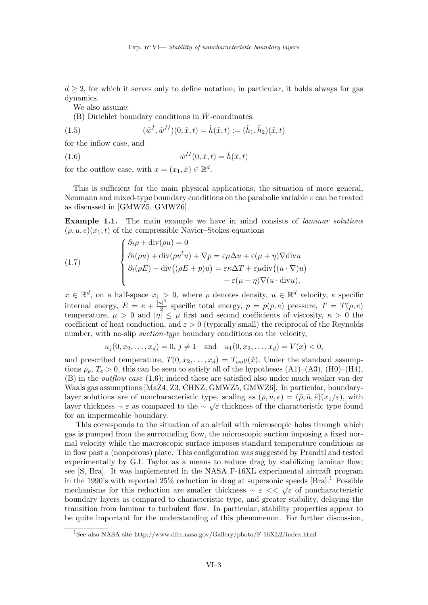$d \geq 2$ , for which it serves only to define notation; in particular, it holds always for gas dynamics.

We also assume:

(B) Dirichlet boundary conditions in  $\tilde{W}$ -coordinates:

(1.5) 
$$
(\tilde{w}^I, \tilde{w}^{II})(0, \tilde{x}, t) = \tilde{h}(\tilde{x}, t) := (\tilde{h}_1, \tilde{h}_2)(\tilde{x}, t)
$$

for the inflow case, and

(1.6) 
$$
\tilde{w}^{II}(0,\tilde{x},t) = \tilde{h}(\tilde{x},t)
$$

for the outflow case, with  $x = (x_1, \tilde{x}) \in \mathbb{R}^d$ .

This is sufficient for the main physical applications; the situation of more general, Neumann and mixed-type boundary conditions on the parabolic variable  $v$  can be treated as discussed in [GMWZ5, GMWZ6].

Example 1.1. The main example we have in mind consists of laminar solutions  $(\rho, u, e)(x_1, t)$  of the compressible Navier–Stokes equations

(1.7) 
$$
\begin{cases} \partial_t \rho + \text{div}(\rho u) = 0 \\ \partial_t (\rho u) + \text{div}(\rho u^t u) + \nabla p = \varepsilon \mu \Delta u + \varepsilon (\mu + \eta) \nabla \text{div} u \\ \partial_t (\rho E) + \text{div}((\rho E + p)u) = \varepsilon \kappa \Delta T + \varepsilon \mu \text{div}((u \cdot \nabla)u) \\ + \varepsilon (\mu + \eta) \nabla (u \cdot \text{div} u), \end{cases}
$$

 $x \in \mathbb{R}^d$ , on a half-space  $x_1 > 0$ , where  $\rho$  denotes density,  $u \in \mathbb{R}^d$  velocity, e specific internal energy,  $E = e + \frac{|u|^2}{2}$  $\frac{p}{2}$  specific total energy,  $p = p(\rho, e)$  pressure,  $T = T(\rho, e)$ temperature,  $\mu > 0$  and  $|\eta| \leq \mu$  first and second coefficients of viscosity,  $\kappa > 0$  the coefficient of heat conduction, and  $\varepsilon > 0$  (typically small) the reciprocal of the Reynolds number, with no-slip suction-type boundary conditions on the velocity,

$$
u_j(0, x_2,..., x_d) = 0, j \neq 1
$$
 and  $u_1(0, x_2,..., x_d) = V(x) < 0$ ,

and prescribed temperature,  $T(0, x_2, \ldots, x_d) = T_{wall}(\tilde{x})$ . Under the standard assumptions  $p_{\rho}$ ,  $T_e > 0$ , this can be seen to satisfy all of the hypotheses (A1)–(A3), (H0)–(H4), (B) in the outflow case (1.6); indeed these are satisfied also under much weaker van der Waals gas assumptions [MaZ4, Z3, CHNZ, GMWZ5, GMWZ6]. In particular, boundarylayer solutions are of noncharacteristic type, scaling as  $(\rho, u, e) = (\bar{\rho}, \bar{u}, \bar{e})(x_1/\varepsilon)$ , with layer thickness  $\sim \varepsilon$  as compared to the  $\sim \sqrt{\varepsilon}$  thickness of the characteristic type found for an impermeable boundary.

This corresponds to the situation of an airfoil with microscopic holes through which gas is pumped from the surrounding flow, the microscopic suction imposing a fixed normal velocity while the macroscopic surface imposes standard temperature conditions as in flow past a (nonporous) plate. This configuration was suggested by Prandtl and tested experimentally by G.I. Taylor as a means to reduce drag by stabilizing laminar flow; see [S, Bra]. It was implemented in the NASA F-16XL experimental aircraft program in the 1990's with reported  $25\%$  reduction in drag at supersonic speeds [Bra].<sup>1</sup> Possible mechanisms for this reduction are smaller thickness  $\sim \varepsilon \ll \sqrt{\varepsilon}$  of noncharacteristic boundary layers as compared to characteristic type, and greater stability, delaying the transition from laminar to turbulent flow. In particular, stability properties appear to be quite important for the understanding of this phenomenon. For further discussion,

<sup>1</sup>See also NASA site http://www.dfrc.nasa.gov/Gallery/photo/F-16XL2/index.html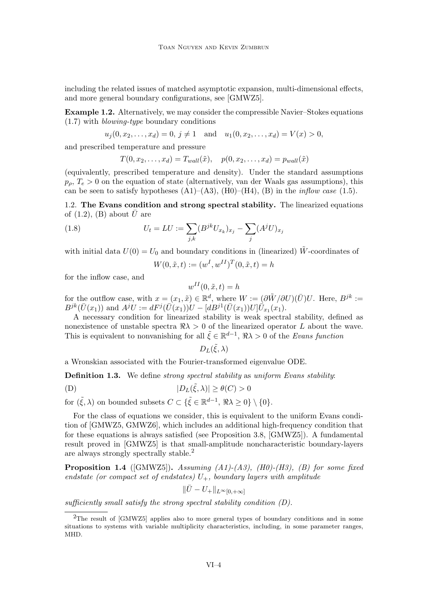including the related issues of matched asymptotic expansion, multi-dimensional effects, and more general boundary configurations, see [GMWZ5].

Example 1.2. Alternatively, we may consider the compressible Navier–Stokes equations (1.7) with blowing-type boundary conditions

$$
u_j(0, x_2,..., x_d) = 0, j \neq 1
$$
 and  $u_1(0, x_2,..., x_d) = V(x) > 0$ ,

and prescribed temperature and pressure

$$
T(0, x_2, \dots, x_d) = T_{wall}(\tilde{x}), \quad p(0, x_2, \dots, x_d) = p_{wall}(\tilde{x})
$$

(equivalently, prescribed temperature and density). Under the standard assumptions  $p_{\rho}, T_e > 0$  on the equation of state (alternatively, van der Waals gas assumptions), this can be seen to satisfy hypotheses  $(A1)$ – $(A3)$ ,  $(H0)$ – $(H4)$ ,  $(B)$  in the *inflow case* (1.5).

1.2. The Evans condition and strong spectral stability. The linearized equations of  $(1.2)$ ,  $(B)$  about U are

(1.8) 
$$
U_t = LU := \sum_{j,k} (B^{jk} U_{x_k})_{x_j} - \sum_j (A^j U)_{x_j}
$$

with initial data  $U(0) = U_0$  and boundary conditions in (linearized)  $\tilde{W}$ -coordinates of

$$
W(0, \tilde{x}, t) := (w^I, w^{II})^T(0, \tilde{x}, t) = h
$$

for the inflow case, and

$$
w^{II}(0, \tilde{x}, t) = h
$$

for the outflow case, with  $x = (x_1, \tilde{x}) \in \mathbb{R}^d$ , where  $W := (\partial \tilde{W}/\partial U)(\overline{U})U$ . Here,  $B^{jk} :=$  $B^{jk}(\bar{U}(x_1))$  and  $A^jU := dF^j(\bar{U}(x_1))U - [dB^{j1}(\bar{U}(x_1))U]\bar{U}_{x_1}(x_1).$ 

A necessary condition for linearized stability is weak spectral stability, defined as nonexistence of unstable spectra  $\Re\lambda > 0$  of the linearized operator L about the wave. This is equivalent to nonvanishing for all  $\tilde{\xi} \in \mathbb{R}^{d-1}$ ,  $\Re \lambda > 0$  of the Evans function

$$
D_L(\tilde{\xi},\lambda)
$$

a Wronskian associated with the Fourier-transformed eigenvalue ODE.

**Definition 1.3.** We define *strong spectral stability* as uniform Evans *stability*:

(D) 
$$
|D_L(\tilde{\xi}, \lambda)| \ge \theta(C) > 0
$$

for  $(\tilde{\xi}, \lambda)$  on bounded subsets  $C \subset {\{\tilde{\xi} \in \mathbb{R}^{d-1}, \Re \lambda \geq 0\}} \setminus \{0\}.$ 

For the class of equations we consider, this is equivalent to the uniform Evans condition of [GMWZ5, GMWZ6], which includes an additional high-frequency condition that for these equations is always satisfied (see Proposition 3.8, [GMWZ5]). A fundamental result proved in [GMWZ5] is that small-amplitude noncharacteristic boundary-layers are always strongly spectrally stable.<sup>2</sup>

**Proposition 1.4** ([GMWZ5]). Assuming  $(A1)$ - $(A3)$ ,  $(H0)$ - $(H3)$ ,  $(B)$  for some fixed endstate (or compact set of endstates)  $U_{+}$ , boundary layers with amplitude

$$
\|\bar U - U_+\|_{L^\infty[0,+\infty]}
$$

sufficiently small satisfy the strong spectral stability condition (D).

<sup>&</sup>lt;sup>2</sup>The result of [GMWZ5] applies also to more general types of boundary conditions and in some situations to systems with variable multiplicity characteristics, including, in some parameter ranges, MHD.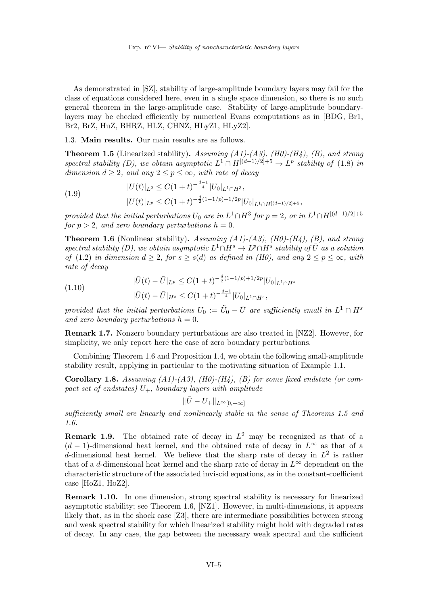As demonstrated in [SZ], stability of large-amplitude boundary layers may fail for the class of equations considered here, even in a single space dimension, so there is no such general theorem in the large-amplitude case. Stability of large-amplitude boundarylayers may be checked efficiently by numerical Evans computations as in [BDG, Br1, Br2, BrZ, HuZ, BHRZ, HLZ, CHNZ, HLyZ1, HLyZ2].

1.3. Main results. Our main results are as follows.

**Theorem 1.5** (Linearized stability). Assuming  $(A1)-(A3)$ ,  $(H0)-(H4)$ ,  $(B)$ , and strong spectral stability (D), we obtain asymptotic  $L^1 \cap H^{[(d-1)/2]+5} \to L^p$  stability of (1.8) in dimension  $d > 2$ , and any  $2 \le p \le \infty$ , with rate of decay

(1.9) 
$$
|U(t)|_{L^2} \leq C(1+t)^{-\frac{d-1}{4}} |U_0|_{L^1 \cap H^3},
$$

$$
|U(t)|_{L^p} \leq C(1+t)^{-\frac{d}{2}(1-1/p)+1/2p} |U_0|_{L^1 \cap H^{[(d-1)/2]+5}},
$$

provided that the initial perturbations  $U_0$  are in  $L^1 \cap H^3$  for  $p = 2$ , or in  $L^1 \cap H^{[(d-1)/2]+5}$ for  $p > 2$ , and zero boundary perturbations  $h = 0$ .

**Theorem 1.6** (Nonlinear stability). Assuming  $(A1)-(A3)$ ,  $(H0)-(H4)$ ,  $(B)$ , and strong spectral stability (D), we obtain asymptotic  $L^1 \cap H^s \to L^p \cap H^s$  stability of  $\overline{U}$  as a solution of (1.2) in dimension  $d \geq 2$ , for  $s \geq s(d)$  as defined in (H0), and any  $2 \leq p \leq \infty$ , with rate of decay

(1.10) 
$$
|\tilde{U}(t) - \bar{U}|_{L^{p}} \leq C(1+t)^{-\frac{d}{2}(1-1/p)+1/2p} |U_0|_{L^{1} \cap H^{s}} |\tilde{U}(t) - \bar{U}|_{H^{s}} \leq C(1+t)^{-\frac{d-1}{4}} |U_0|_{L^{1} \cap H^{s}},
$$

provided that the initial perturbations  $U_0 := \tilde{U}_0 - \bar{U}$  are sufficiently small in  $L^1 \cap H^s$ and zero boundary perturbations  $h = 0$ .

Remark 1.7. Nonzero boundary perturbations are also treated in [NZ2]. However, for simplicity, we only report here the case of zero boundary perturbations.

Combining Theorem 1.6 and Proposition 1.4, we obtain the following small-amplitude stability result, applying in particular to the motivating situation of Example 1.1.

**Corollary 1.8.** Assuming  $(A1)-(A3)$ ,  $(H0)-(H4)$ ,  $(B)$  for some fixed endstate (or compact set of endstates)  $U_{+}$ , boundary layers with amplitude

$$
\|\bar U - U_+\|_{L^\infty[0,+\infty]}
$$

sufficiently small are linearly and nonlinearly stable in the sense of Theorems 1.5 and 1.6.

**Remark 1.9.** The obtained rate of decay in  $L^2$  may be recognized as that of a  $(d-1)$ -dimensional heat kernel, and the obtained rate of decay in  $L^{\infty}$  as that of a d-dimensional heat kernel. We believe that the sharp rate of decay in  $L^2$  is rather that of a d-dimensional heat kernel and the sharp rate of decay in  $L^{\infty}$  dependent on the characteristic structure of the associated inviscid equations, as in the constant-coefficient case [HoZ1, HoZ2].

Remark 1.10. In one dimension, strong spectral stability is necessary for linearized asymptotic stability; see Theorem 1.6, [NZ1]. However, in multi-dimensions, it appears likely that, as in the shock case [Z3], there are intermediate possibilities between strong and weak spectral stability for which linearized stability might hold with degraded rates of decay. In any case, the gap between the necessary weak spectral and the sufficient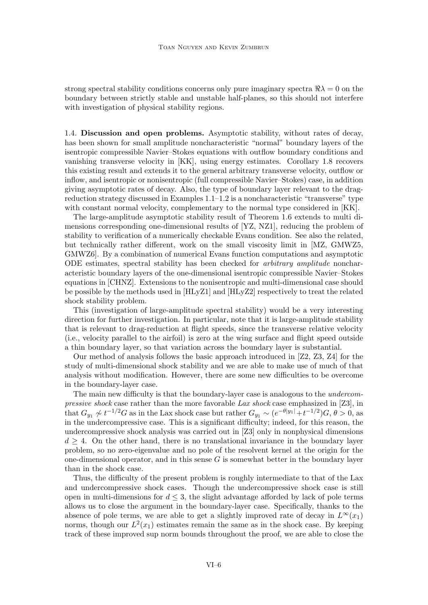strong spectral stability conditions concerns only pure imaginary spectra  $\Re\lambda = 0$  on the boundary between strictly stable and unstable half-planes, so this should not interfere with investigation of physical stability regions.

1.4. Discussion and open problems. Asymptotic stability, without rates of decay, has been shown for small amplitude noncharacteristic "normal" boundary layers of the isentropic compressible Navier–Stokes equations with outflow boundary conditions and vanishing transverse velocity in [KK], using energy estimates. Corollary 1.8 recovers this existing result and extends it to the general arbitrary transverse velocity, outflow or inflow, and isentropic or nonisentropic (full compressible Navier–Stokes) case, in addition giving asymptotic rates of decay. Also, the type of boundary layer relevant to the dragreduction strategy discussed in Examples 1.1–1.2 is a noncharacteristic "transverse" type with constant normal velocity, complementary to the normal type considered in [KK].

The large-amplitude asymptotic stability result of Theorem 1.6 extends to multi dimensions corresponding one-dimensional results of [YZ, NZ1], reducing the problem of stability to verification of a numerically checkable Evans condition. See also the related, but technically rather different, work on the small viscosity limit in [MZ, GMWZ5, GMWZ6]. By a combination of numerical Evans function computations and asymptotic ODE estimates, spectral stability has been checked for arbitrary amplitude noncharacteristic boundary layers of the one-dimensional isentropic compressible Navier–Stokes equations in [CHNZ]. Extensions to the nonisentropic and multi-dimensional case should be possible by the methods used in [HLyZ1] and [HLyZ2] respectively to treat the related shock stability problem.

This (investigation of large-amplitude spectral stability) would be a very interesting direction for further investigation. In particular, note that it is large-amplitude stability that is relevant to drag-reduction at flight speeds, since the transverse relative velocity (i.e., velocity parallel to the airfoil) is zero at the wing surface and flight speed outside a thin boundary layer, so that variation across the boundary layer is substantial.

Our method of analysis follows the basic approach introduced in [Z2, Z3, Z4] for the study of multi-dimensional shock stability and we are able to make use of much of that analysis without modification. However, there are some new difficulties to be overcome in the boundary-layer case.

The main new difficulty is that the boundary-layer case is analogous to the undercompressive shock case rather than the more favorable Lax shock case emphasized in [Z3], in that  $G_{y_1} \nless t^{-1/2} G$  as in the Lax shock case but rather  $G_{y_1} \sim (e^{-\theta |y_1|} + t^{-1/2}) G, \theta > 0$ , as in the undercompressive case. This is a significant difficulty; indeed, for this reason, the undercompressive shock analysis was carried out in [Z3] only in nonphysical dimensions  $d > 4$ . On the other hand, there is no translational invariance in the boundary layer problem, so no zero-eigenvalue and no pole of the resolvent kernel at the origin for the one-dimensional operator, and in this sense  $G$  is somewhat better in the boundary layer than in the shock case.

Thus, the difficulty of the present problem is roughly intermediate to that of the Lax and undercompressive shock cases. Though the undercompressive shock case is still open in multi-dimensions for  $d \leq 3$ , the slight advantage afforded by lack of pole terms allows us to close the argument in the boundary-layer case. Specifically, thanks to the absence of pole terms, we are able to get a slightly improved rate of decay in  $L^{\infty}(x_1)$ norms, though our  $L^2(x_1)$  estimates remain the same as in the shock case. By keeping track of these improved sup norm bounds throughout the proof, we are able to close the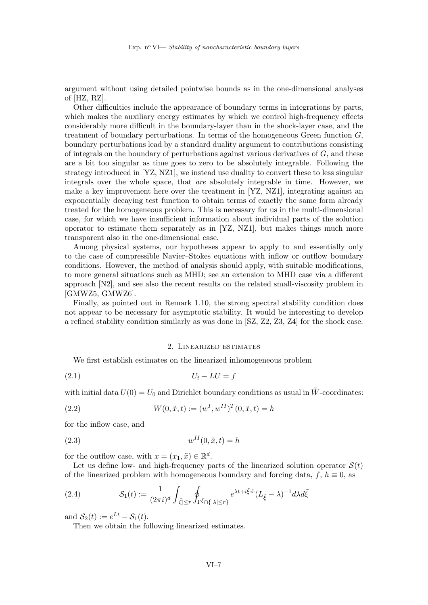argument without using detailed pointwise bounds as in the one-dimensional analyses of [HZ, RZ].

Other difficulties include the appearance of boundary terms in integrations by parts, which makes the auxiliary energy estimates by which we control high-frequency effects considerably more difficult in the boundary-layer than in the shock-layer case, and the treatment of boundary perturbations. In terms of the homogeneous Green function  $G$ , boundary perturbations lead by a standard duality argument to contributions consisting of integrals on the boundary of perturbations against various derivatives of  $G$ , and these are a bit too singular as time goes to zero to be absolutely integrable. Following the strategy introduced in [YZ, NZ1], we instead use duality to convert these to less singular integrals over the whole space, that are absolutely integrable in time. However, we make a key improvement here over the treatment in [YZ, NZ1], integrating against an exponentially decaying test function to obtain terms of exactly the same form already treated for the homogeneous problem. This is necessary for us in the multi-dimensional case, for which we have insufficient information about individual parts of the solution operator to estimate them separately as in [YZ, NZ1], but makes things much more transparent also in the one-dimensional case.

Among physical systems, our hypotheses appear to apply to and essentially only to the case of compressible Navier–Stokes equations with inflow or outflow boundary conditions. However, the method of analysis should apply, with suitable modifications, to more general situations such as MHD; see an extension to MHD case via a different approach [N2], and see also the recent results on the related small-viscosity problem in [GMWZ5, GMWZ6].

Finally, as pointed out in Remark 1.10, the strong spectral stability condition does not appear to be necessary for asymptotic stability. It would be interesting to develop a refined stability condition similarly as was done in [SZ, Z2, Z3, Z4] for the shock case.

#### 2. Linearized estimates

We first establish estimates on the linearized inhomogeneous problem

$$
(2.1) \t\t\t U_t - LU = f
$$

with initial data  $U(0) = U_0$  and Dirichlet boundary conditions as usual in  $\tilde{W}$ -coordinates:

(2.2) 
$$
W(0, \tilde{x}, t) := (w^I, w^{II})^T(0, \tilde{x}, t) = h
$$

for the inflow case, and

$$
(2.3) \t\t\t w^{II}(0,\tilde{x},t) = h
$$

for the outflow case, with  $x = (x_1, \tilde{x}) \in \mathbb{R}^d$ .

Let us define low- and high-frequency parts of the linearized solution operator  $\mathcal{S}(t)$ of the linearized problem with homogeneous boundary and forcing data,  $f, h \equiv 0$ , as

(2.4) 
$$
\mathcal{S}_1(t) := \frac{1}{(2\pi i)^d} \int_{|\tilde{\xi}| \le r} \oint_{\Gamma^{\tilde{\xi}} \cap \{ |\lambda| \le r\}} e^{\lambda t + i \tilde{\xi} \cdot \tilde{x}} (L_{\tilde{\xi}} - \lambda)^{-1} d\lambda d\tilde{\xi}
$$

and  $S_2(t) := e^{Lt} - S_1(t)$ .

Then we obtain the following linearized estimates.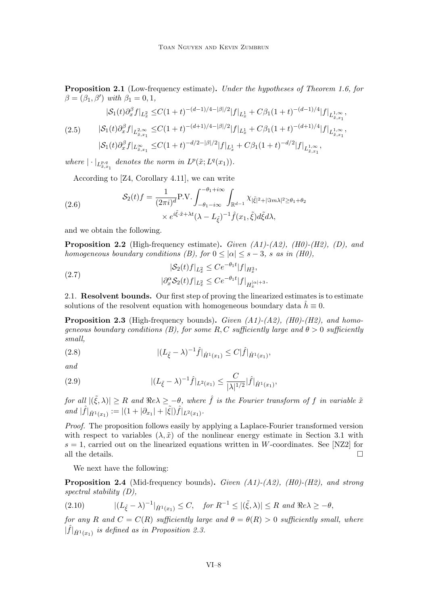Proposition 2.1 (Low-frequency estimate). Under the hypotheses of Theorem 1.6, for  $\beta = (\beta_1, \beta')$  with  $\beta_1 = 0, 1$ ,

$$
|\mathcal{S}_1(t)\partial_x^{\beta} f|_{L_x^2} \leq C(1+t)^{-(d-1)/4-|\beta|/2}|f|_{L_x^1} + C\beta_1(1+t)^{-(d-1)/4}|f|_{L_{x,x_1}^{1,\infty}},
$$
  
(2.5) 
$$
|\mathcal{S}_1(t)\partial_x^{\beta} f|_{L_{x,x_1}^{2,\infty}} \leq C(1+t)^{-(d+1)/4-|\beta|/2}|f|_{L_x^1} + C\beta_1(1+t)^{-(d+1)/4}|f|_{L_{x,x_1}^{1,\infty}},
$$

$$
|\mathcal{S}_1(t)\partial_x^{\beta} f|_{L_{x,x_1}^{\infty}} \leq C(1+t)^{-d/2-|\beta|/2}|f|_{L_x^1} + C\beta_1(1+t)^{-d/2}|f|_{L_{x,x_1}^{1,\infty}},
$$

where  $|\cdot|_{L^{p,q}_{\tilde{x},x_1}}$  denotes the norm in  $L^p(\tilde{x};L^q(x_1)).$ 

According to [Z4, Corollary 4.11], we can write

(2.6) 
$$
\mathcal{S}_2(t)f = \frac{1}{(2\pi i)^d} \text{P.V.} \int_{-\theta_1 - i\infty}^{-\theta_1 + i\infty} \int_{\mathbb{R}^{d-1}} \chi_{|\tilde{\xi}|^2 + |\Im m\lambda|^2 \ge \theta_1 + \theta_2} \times e^{i\tilde{\xi} \cdot \tilde{x} + \lambda t} (\lambda - L_{\tilde{\xi}})^{-1} \hat{f}(x_1, \tilde{\xi}) d\tilde{\xi} d\lambda,
$$

and we obtain the following.

**Proposition 2.2** (High-frequency estimate). Given  $(A1)-(A2)$ ,  $(H0)-(H2)$ ,  $(D)$ , and homogeneous boundary conditions (B), for  $0 \leq |\alpha| \leq s - 3$ , s as in (H0),

(2.7) 
$$
|\mathcal{S}_2(t)f|_{L_x^2} \leq Ce^{-\theta_1 t} |f|_{H_x^3},
$$

$$
|\partial_x^{\alpha} \mathcal{S}_2(t)f|_{L_x^2} \leq Ce^{-\theta_1 t} |f|_{H_x^{|\alpha|+3}}.
$$

2.1. Resolvent bounds. Our first step of proving the linearized estimates is to estimate solutions of the resolvent equation with homogeneous boundary data  $\tilde{h} \equiv 0$ .

**Proposition 2.3** (High-frequency bounds). Given  $(A1)-(A2)$ ,  $(H0)-(H2)$ , and homogeneous boundary conditions (B), for some R, C sufficiently large and  $\theta > 0$  sufficiently small,

(2.8) 
$$
|(L_{\tilde{\xi}} - \lambda)^{-1}\hat{f}|_{\hat{H}^1(x_1)} \leq C|\hat{f}|_{\hat{H}^1(x_1)},
$$

and

(2.9) 
$$
|(L_{\tilde{\xi}} - \lambda)^{-1}\hat{f}|_{L^2(x_1)} \leq \frac{C}{|\lambda|^{1/2}}|\hat{f}|_{\hat{H}^1(x_1)},
$$

for all  $|(\tilde{\xi}, \lambda)| \geq R$  and  $\Re e\lambda \geq -\theta$ , where  $\hat{f}$  is the Fourier transform of f in variable  $\tilde{x}$ and  $|\hat{f}|_{\hat{H}^1(x_1)} := |(1+|\partial_{x_1}|+|\tilde{\xi}|)\hat{f}|_{L^2(x_1)}$ .

Proof. The proposition follows easily by applying a Laplace-Fourier transformed version with respect to variables  $(\lambda, \tilde{x})$  of the nonlinear energy estimate in Section 3.1 with  $s = 1$ , carried out on the linearized equations written in W-coordinates. See [NZ2] for all the details.  $\hfill \square$ 

We next have the following:

**Proposition 2.4** (Mid-frequency bounds). Given  $(A1)-(A2)$ ,  $(H0)-(H2)$ , and strong spectral stability (D),

$$
(2.10) \qquad \qquad |(L_{\tilde{\xi}} - \lambda)^{-1}|_{\hat{H}^1(x_1)} \le C, \quad \text{for } R^{-1} \le |(\tilde{\xi}, \lambda)| \le R \text{ and } \Re e \lambda \ge -\theta,
$$

for any R and  $C = C(R)$  sufficiently large and  $\theta = \theta(R) > 0$  sufficiently small, where  $|\hat{f}|_{\hat{H}^1(x_1)}$  is defined as in Proposition 2.3.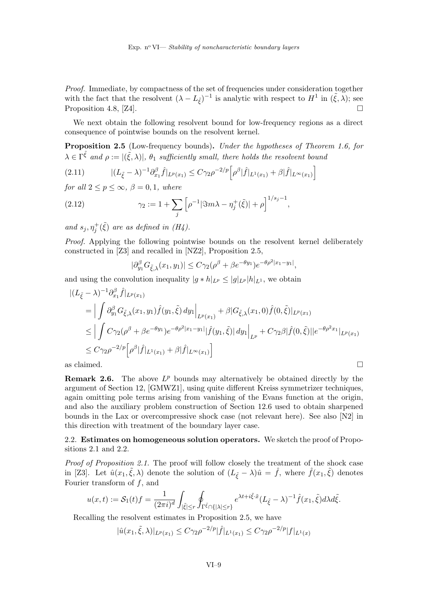Proof. Immediate, by compactness of the set of frequencies under consideration together with the fact that the resolvent  $(\lambda - L_{\tilde{\xi}})^{-1}$  is analytic with respect to  $H^1$  in  $(\tilde{\xi}, \lambda)$ ; see Proposition 4.8, [Z4].

We next obtain the following resolvent bound for low-frequency regions as a direct consequence of pointwise bounds on the resolvent kernel.

Proposition 2.5 (Low-frequency bounds). Under the hypotheses of Theorem 1.6, for  $\lambda \in \Gamma^{\tilde{\xi}}$  and  $\rho := |(\tilde{\xi}, \lambda)|$ ,  $\theta_1$  sufficiently small, there holds the resolvent bound

$$
(2.11) \qquad |(L_{\tilde{\xi}} - \lambda)^{-1} \partial_{x_1}^{\beta} \hat{f}|_{L^p(x_1)} \le C \gamma_2 \rho^{-2/p} \Big[ \rho^{\beta} |\hat{f}|_{L^1(x_1)} + \beta |\hat{f}|_{L^{\infty}(x_1)} \Big]
$$

for all  $2 \le p \le \infty$ ,  $\beta = 0, 1$ , where

(2.12) 
$$
\gamma_2 := 1 + \sum_j \left[ \rho^{-1} |\Im m \lambda - \eta_j^+(\tilde{\xi})| + \rho \right]^{1/s_j - 1},
$$

and  $s_j, \eta_j^+(\tilde{\xi})$  are as defined in (H4).

Proof. Applying the following pointwise bounds on the resolvent kernel deliberately constructed in [Z3] and recalled in [NZ2], Proposition 2.5,

$$
|\partial_{y_1}^{\beta} G_{\tilde{\xi},\lambda}(x_1,y_1)| \leq C\gamma_2(\rho^{\beta} + \beta e^{-\theta y_1})e^{-\theta \rho^2 |x_1 - y_1|},
$$

and using the convolution inequality  $|g * h|_{L^p} \leq |g|_{L^p} |h|_{L^1}$ , we obtain

$$
\begin{split} |(L_{\tilde{\xi}} - \lambda)^{-1} \partial_{x_1}^{\beta} \hat{f}|_{L^p(x_1)} \\ &= \Big| \int \partial_{y_1}^{\beta} G_{\tilde{\xi},\lambda}(x_1, y_1) \hat{f}(y_1, \tilde{\xi}) \, dy_1 \Big|_{L^p(x_1)} + \beta |G_{\tilde{\xi},\lambda}(x_1, 0) \hat{f}(0, \tilde{\xi})|_{L^p(x_1)} \\ &\leq \Big| \int C \gamma_2 (\rho^{\beta} + \beta e^{-\theta y_1}) e^{-\theta \rho^2 |x_1 - y_1|} |\hat{f}(y_1, \tilde{\xi})| \, dy_1 \Big|_{L^p} + C \gamma_2 \beta |\hat{f}(0, \tilde{\xi})| |e^{-\theta \rho^2 x_1} |_{L^p(x_1)} \\ &\leq C \gamma_2 \rho^{-2/p} \Big[ \rho^{\beta} |\hat{f}|_{L^1(x_1)} + \beta |\hat{f}|_{L^{\infty}(x_1)} \Big] \\ \text{as claimed.} \end{split}
$$

**Remark 2.6.** The above  $L^p$  bounds may alternatively be obtained directly by the argument of Section 12, [GMWZ1], using quite different Kreiss symmetrizer techniques, again omitting pole terms arising from vanishing of the Evans function at the origin, and also the auxiliary problem construction of Section 12.6 used to obtain sharpened bounds in the Lax or overcompressive shock case (not relevant here). See also [N2] in this direction with treatment of the boundary layer case.

2.2. Estimates on homogeneous solution operators. We sketch the proof of Propositions 2.1 and 2.2.

Proof of Proposition 2.1. The proof will follow closely the treatment of the shock case in [Z3]. Let  $\hat{u}(x_1, \tilde{\xi}, \lambda)$  denote the solution of  $(L_{\tilde{\xi}} - \lambda)\hat{u} = \hat{f}$ , where  $\hat{f}(x_1, \tilde{\xi})$  denotes Fourier transform of  $f$ , and

$$
u(x,t):=\mathcal{S}_1(t)f=\frac{1}{(2\pi i)^d}\int_{|\tilde{\xi}|\leq r}\oint_{\Gamma^{\tilde{\xi}}\cap\{|\lambda|\leq r\}}e^{\lambda t+i\tilde{\xi}\cdot \tilde{x}}(L_{\tilde{\xi}}-\lambda)^{-1}\hat{f}(x_1,\tilde{\xi})d\lambda d\tilde{\xi}.
$$

Recalling the resolvent estimates in Proposition 2.5, we have

$$
|\hat{u}(x_1,\tilde{\xi},\lambda)|_{L^p(x_1)} \le C\gamma_2 \rho^{-2/p} |\hat{f}|_{L^1(x_1)} \le C\gamma_2 \rho^{-2/p} |f|_{L^1(x)}
$$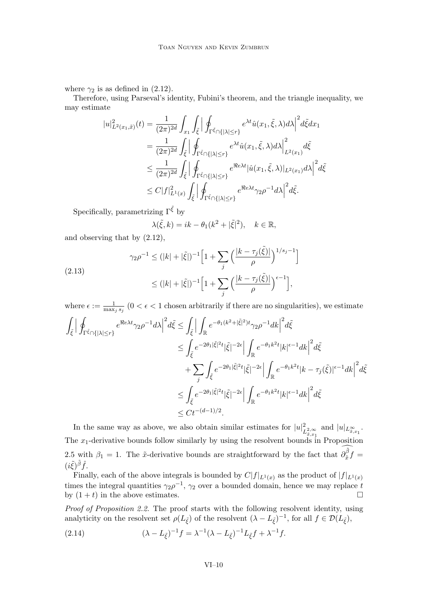where  $\gamma_2$  is as defined in (2.12).

Therefore, using Parseval's identity, Fubini's theorem, and the triangle inequality, we may estimate

$$
|u|_{L^{2}(x_{1},\tilde{x})}^{2}(t) = \frac{1}{(2\pi)^{2d}} \int_{x_{1}} \int_{\tilde{\xi}} \left| \oint_{\Gamma^{\tilde{\xi}} \cap \{|\lambda| \leq r\}} e^{\lambda t} \hat{u}(x_{1},\tilde{\xi},\lambda) d\lambda \right|^{2} d\tilde{\xi} dx_{1}
$$
  
\n
$$
= \frac{1}{(2\pi)^{2d}} \int_{\tilde{\xi}} \left| \oint_{\Gamma^{\tilde{\xi}} \cap \{|\lambda| \leq r\}} e^{\lambda t} \hat{u}(x_{1},\tilde{\xi},\lambda) d\lambda \right|_{L^{2}(x_{1})}^{2} d\tilde{\xi}
$$
  
\n
$$
\leq \frac{1}{(2\pi)^{2d}} \int_{\tilde{\xi}} \left| \oint_{\Gamma^{\tilde{\xi}} \cap \{|\lambda| \leq r\}} e^{\Re \epsilon \lambda t} |\hat{u}(x_{1},\tilde{\xi},\lambda)|_{L^{2}(x_{1})} d\lambda \right|^{2} d\tilde{\xi}
$$
  
\n
$$
\leq C |f|_{L^{1}(x)}^{2} \int_{\tilde{\xi}} \left| \oint_{\Gamma^{\tilde{\xi}} \cap \{|\lambda| \leq r\}} e^{\Re \epsilon \lambda t} \gamma_{2} \rho^{-1} d\lambda \right|^{2} d\tilde{\xi}.
$$

Specifically, parametrizing  $\Gamma^{\tilde{\xi}}$  by

$$
\lambda(\tilde{\xi},k) = ik - \theta_1(k^2 + |\tilde{\xi}|^2), \quad k \in \mathbb{R},
$$

and observing that by (2.12),

$$
\gamma_2 \rho^{-1} \le (|k| + |\tilde{\xi}|)^{-1} \Big[ 1 + \sum_j \left( \frac{|k - \tau_j(\tilde{\xi})|}{\rho} \right)^{1/s_j - 1} \Big]
$$
  
(2.13)  

$$
\le (|k| + |\tilde{\xi}|)^{-1} \Big[ 1 + \sum_j \left( \frac{|k - \tau_j(\tilde{\xi})|}{\rho} \right)^{\epsilon - 1} \Big],
$$

where  $\epsilon := \frac{1}{\max_j s_j}$   $(0 < \epsilon < 1$  chosen arbitrarily if there are no singularities), we estimate

$$
\int_{\tilde{\xi}} \Big| \oint_{\Gamma^{\tilde{\xi}} \cap \{ |\lambda| \le r \}} e^{\Re e \lambda t} \gamma_2 \rho^{-1} d\lambda \Big|^2 d\tilde{\xi} \le \int_{\tilde{\xi}} \Big| \int_{\mathbb{R}} e^{-\theta_1 (k^2 + |\tilde{\xi}|^2) t} \gamma_2 \rho^{-1} dk \Big|^2 d\tilde{\xi}
$$
  
\n
$$
\le \int_{\tilde{\xi}} e^{-2\theta_1 |\tilde{\xi}|^2 t} |\tilde{\xi}|^{-2\epsilon} \Big| \int_{\mathbb{R}} e^{-\theta_1 k^2 t} |k|^{ \epsilon - 1} dk \Big|^2 d\tilde{\xi}
$$
  
\n
$$
+ \sum_{j} \int_{\tilde{\xi}} e^{-2\theta_1 |\tilde{\xi}|^2 t} |\tilde{\xi}|^{-2\epsilon} \Big| \int_{\mathbb{R}} e^{-\theta_1 k^2 t} |k - \tau_j(\tilde{\xi})|^{\epsilon - 1} dk \Big|^2 d\tilde{\xi}
$$
  
\n
$$
\le \int_{\tilde{\xi}} e^{-2\theta_1 |\tilde{\xi}|^2 t} |\tilde{\xi}|^{-2\epsilon} \Big| \int_{\mathbb{R}} e^{-\theta_1 k^2 t} |k|^{\epsilon - 1} dk \Big|^2 d\tilde{\xi}
$$
  
\n
$$
\le Ct^{-(d-1)/2}.
$$

In the same way as above, we also obtain similar estimates for  $|u|_I^2$  $L^2_{\tilde{x},x_1}$  and  $|u|_{L^{\infty}_{\tilde{x},x_1}}$ . The  $x_1$ -derivative bounds follow similarly by using the resolvent bounds in Proposition 2.5 with  $\beta_1 = 1$ . The  $\tilde{x}$ -derivative bounds are straightforward by the fact that  $\partial_{\tilde{x}}^{\tilde{\beta}}$  $\int_{\tilde{x}}^{\rho} f =$  $(i\tilde{\xi})^{\tilde{\beta}}\hat{f}.$ 

Finally, each of the above integrals is bounded by  $C|f|_{L^1(x)}$  as the product of  $|f|_{L^1(x)}$ times the integral quantities  $\gamma_2 \rho^{-1}$ ,  $\gamma_2$  over a bounded domain, hence we may replace t by  $(1 + t)$  in the above estimates.

Proof of Proposition 2.2. The proof starts with the following resolvent identity, using analyticity on the resolvent set  $\rho(L_{\tilde{\xi}})$  of the resolvent  $(\lambda - L_{\tilde{\xi}})^{-1}$ , for all  $f \in \mathcal{D}(L_{\tilde{\xi}})$ ,

(2.14) 
$$
(\lambda - L_{\tilde{\xi}})^{-1} f = \lambda^{-1} (\lambda - L_{\tilde{\xi}})^{-1} L_{\tilde{\xi}} f + \lambda^{-1} f.
$$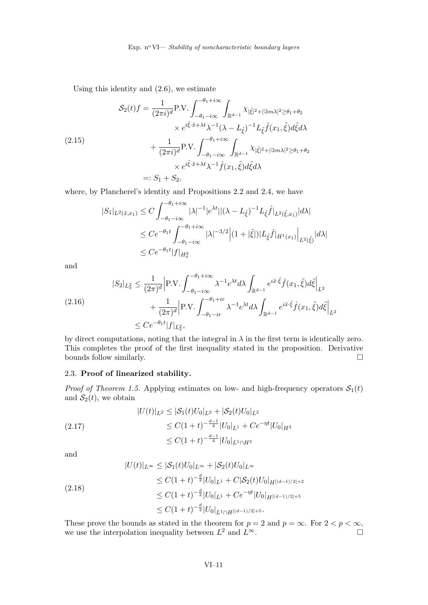Using this identity and (2.6), we estimate

$$
S_2(t)f = \frac{1}{(2\pi i)^d} \text{P.V.} \int_{-\theta_1 - i\infty}^{-\theta_1 + i\infty} \int_{\mathbb{R}^{d-1}} \chi_{|\tilde{\xi}|^2 + |\Im m\lambda|^2 \ge \theta_1 + \theta_2}
$$
  
\n
$$
\times e^{i\tilde{\xi} \cdot \tilde{x} + \lambda t} \lambda^{-1} (\lambda - L_{\tilde{\xi}})^{-1} L_{\tilde{\xi}} \hat{f}(x_1, \tilde{\xi}) d\tilde{\xi} d\lambda
$$
  
\n
$$
+ \frac{1}{(2\pi i)^d} \text{P.V.} \int_{-\theta_1 - i\infty}^{-\theta_1 + i\infty} \int_{\mathbb{R}^{d-1}} \chi_{|\tilde{\xi}|^2 + |\Im m\lambda|^2 \ge \theta_1 + \theta_2}
$$
  
\n
$$
\times e^{i\tilde{\xi} \cdot \tilde{x} + \lambda t} \lambda^{-1} \hat{f}(x_1, \tilde{\xi}) d\tilde{\xi} d\lambda
$$
  
\n
$$
=: S_1 + S_2,
$$

where, by Plancherel's identity and Propositions 2.2 and 2.4, we have

$$
|S_1|_{L^2(\tilde{x},x_1)} \le C \int_{-\theta_1 - i\infty}^{-\theta_1 + i\infty} |\lambda|^{-1} |e^{\lambda t}||(\lambda - L_{\tilde{\xi}})^{-1} L_{\tilde{\xi}} \hat{f}|_{L^2(\tilde{\xi},x_1)} |d\lambda|
$$
  
\n
$$
\le C e^{-\theta_1 t} \int_{-\theta_1 - i\infty}^{-\theta_1 + i\infty} |\lambda|^{-3/2} |(1 + |\tilde{\xi}|) |L_{\tilde{\xi}} \hat{f}|_{H^1(x_1)} \Big|_{L^2(\tilde{\xi})} |d\lambda|
$$
  
\n
$$
\le C e^{-\theta_1 t} |f|_{H^3_x}
$$

and

$$
|S_2|_{L_x^2} \leq \frac{1}{(2\pi)^d} \Big| P.V. \int_{-\theta_1 - i\infty}^{-\theta_1 + i\infty} \lambda^{-1} e^{\lambda t} d\lambda \int_{\mathbb{R}^{d-1}} e^{i\tilde{x}\cdot\tilde{\xi}} \hat{f}(x_1, \tilde{\xi}) d\tilde{\xi} \Big|_{L^2}
$$
  

$$
+ \frac{1}{(2\pi)^d} \Big| P.V. \int_{-\theta_1 - ir}^{-\theta_1 + ir} \lambda^{-1} e^{\lambda t} d\lambda \int_{\mathbb{R}^{d-1}} e^{i\tilde{x}\cdot\tilde{\xi}} \hat{f}(x_1, \tilde{\xi}) d\tilde{\xi} \Big|_{L^2}
$$
  

$$
\leq Ce^{-\theta_1 t} |f|_{L_x^2},
$$

by direct computations, noting that the integral in  $\lambda$  in the first term is identically zero. This completes the proof of the first inequality stated in the proposition. Derivative bounds follow similarly.  $\Box$ 

### 2.3. Proof of linearized stability.

*Proof of Theorem 1.5.* Applying estimates on low- and high-frequency operators  $S_1(t)$ and  $S_2(t)$ , we obtain

$$
|U(t)|_{L^2} \leq |\mathcal{S}_1(t)U_0|_{L^2} + |\mathcal{S}_2(t)U_0|_{L^2}
$$
  
\n
$$
\leq C(1+t)^{-\frac{d-1}{4}}|U_0|_{L^1} + Ce^{-\eta t}|U_0|_{H^3}
$$
  
\n
$$
\leq C(1+t)^{-\frac{d-1}{4}}|U_0|_{L^1 \cap H^3}
$$

and

$$
|U(t)|_{L^{\infty}} \leq |\mathcal{S}_1(t)U_0|_{L^{\infty}} + |\mathcal{S}_2(t)U_0|_{L^{\infty}}
$$
  
\n
$$
\leq C(1+t)^{-\frac{d}{2}}|U_0|_{L^1} + C|\mathcal{S}_2(t)U_0|_{H^{[(d-1)/2]+2}}
$$
  
\n
$$
\leq C(1+t)^{-\frac{d}{2}}|U_0|_{L^1} + Ce^{-\eta t}|U_0|_{H^{[(d-1)/2]+5}}
$$
  
\n
$$
\leq C(1+t)^{-\frac{d}{2}}|U_0|_{L^1 \cap H^{[(d-1)/2]+5}}.
$$

These prove the bounds as stated in the theorem for  $p = 2$  and  $p = \infty$ . For  $2 < p < \infty$ , we use the interpolation inequality between  $L^2$  and  $L^{\infty}$ . we use the interpolation inequality between  $L^2$  and  $L^{\infty}$ .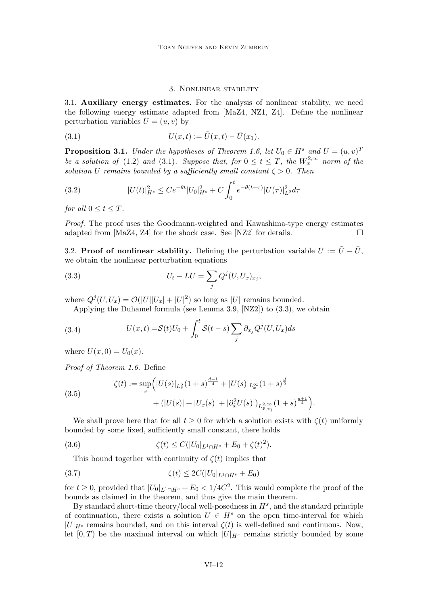#### 3. Nonlinear stability

3.1. Auxiliary energy estimates. For the analysis of nonlinear stability, we need the following energy estimate adapted from [MaZ4, NZ1, Z4]. Define the nonlinear perturbation variables  $U = (u, v)$  by

(3.1) 
$$
U(x,t) := \tilde{U}(x,t) - \bar{U}(x_1).
$$

**Proposition 3.1.** Under the hypotheses of Theorem 1.6, let  $U_0 \in H^s$  and  $U = (u, v)^T$ be a solution of (1.2) and (3.1). Suppose that, for  $0 \le t \le T$ , the  $W_x^{2,\infty}$  norm of the solution U remains bounded by a sufficiently small constant  $\zeta > 0$ . Then

(3.2) 
$$
|U(t)|_{H^s}^2 \le Ce^{-\theta t} |U_0|_{H^s}^2 + C \int_0^t e^{-\theta(t-\tau)} |U(\tau)|_{L^2}^2 d\tau
$$

for all  $0 \leq t \leq T$ .

Proof. The proof uses the Goodmann-weighted and Kawashima-type energy estimates adapted from  $[MaZ4, Z4]$  for the shock case. See  $[NZ2]$  for details.

3.2. **Proof of nonlinear stability.** Defining the perturbation variable  $U := \tilde{U} - \bar{U}$ , we obtain the nonlinear perturbation equations

(3.3) 
$$
U_t - LU = \sum_j Q^j (U, U_x)_{x_j},
$$

where  $Q^{j}(U, U_x) = \mathcal{O}(|U||U_x| + |U|^2)$  so long as |U| remains bounded.

Applying the Duhamel formula (see Lemma 3.9, [NZ2]) to (3.3), we obtain

(3.4) 
$$
U(x,t) = S(t)U_0 + \int_0^t S(t-s) \sum_j \partial_{x_j} Q^j(U, U_x) ds
$$

where  $U(x, 0) = U_0(x)$ .

Proof of Theorem 1.6. Define

(3.5) 
$$
\zeta(t) := \sup_{s} \Big( |U(s)|_{L_{x}^{2}} (1+s)^{\frac{d-1}{4}} + |U(s)|_{L_{x}^{\infty}} (1+s)^{\frac{d}{2}} + (|U(s)| + |U_{x}(s)| + |\partial_{x}^{2} U(s)|)_{L_{x,x_{1}}^{2,\infty}} (1+s)^{\frac{d+1}{4}} \Big).
$$

We shall prove here that for all  $t > 0$  for which a solution exists with  $\zeta(t)$  uniformly bounded by some fixed, sufficiently small constant, there holds

(3.6) 
$$
\zeta(t) \leq C(|U_0|_{L^1 \cap H^s} + E_0 + \zeta(t)^2).
$$

This bound together with continuity of  $\zeta(t)$  implies that

$$
\zeta(t) \le 2C(|U_0|_{L^1 \cap H^s} + E_0)
$$

for  $t \geq 0$ , provided that  $|U_0|_{L^1 \cap H^s} + E_0 < 1/4C^2$ . This would complete the proof of the bounds as claimed in the theorem, and thus give the main theorem.

By standard short-time theory/local well-posedness in  $H^s$ , and the standard principle of continuation, there exists a solution  $U \in H^s$  on the open time-interval for which  $|U|_{H^s}$  remains bounded, and on this interval  $\zeta(t)$  is well-defined and continuous. Now, let  $[0, T)$  be the maximal interval on which  $|U|_{H<sup>s</sup>}$  remains strictly bounded by some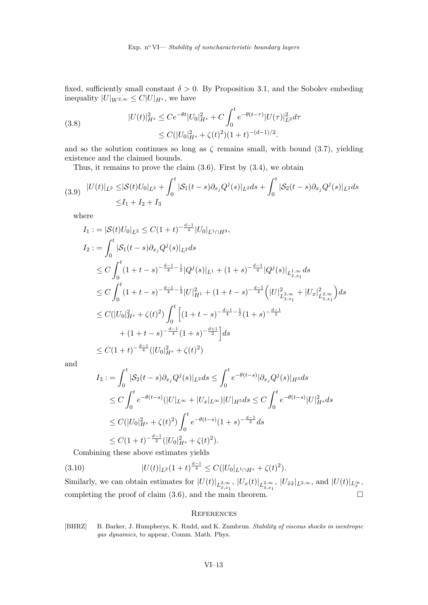fixed, sufficiently small constant  $\delta > 0$ . By Proposition 3.1, and the Sobolev embeding inequality  $|U|_{W^{2,\infty}} \leq C|U|_{H^s}$ , we have

(3.8) 
$$
|U(t)|_{H^s}^2 \le Ce^{-\theta t} |U_0|_{H^s}^2 + C \int_0^t e^{-\theta(t-\tau)} |U(\tau)|_{L^2}^2 d\tau \le C(|U_0|_{H^s}^2 + \zeta(t)^2)(1+t)^{-(d-1)/2}.
$$

and so the solution continues so long as  $\zeta$  remains small, with bound (3.7), yielding existence and the claimed bounds.

Thus, it remains to prove the claim  $(3.6)$ . First by  $(3.4)$ , we obtain

$$
(3.9) \quad |U(t)|_{L^2} \leq |\mathcal{S}(t)U_0|_{L^2} + \int_0^t |\mathcal{S}_1(t-s)\partial_{x_j}Q^j(s)|_{L^2}ds + \int_0^t |\mathcal{S}_2(t-s)\partial_{x_j}Q^j(s)|_{L^2}ds
$$
  

$$
\leq I_1 + I_2 + I_3
$$

where

$$
I_1 := |\mathcal{S}(t)U_0|_{L^2} \le C(1+t)^{-\frac{d-1}{4}}|U_0|_{L^1 \cap H^3},
$$
  
\n
$$
I_2 := \int_0^t |\mathcal{S}_1(t-s)\partial_{x_j}Q^j(s)|_{L^2}ds
$$
  
\n
$$
\le C \int_0^t (1+t-s)^{-\frac{d-1}{4}-\frac{1}{2}}|Q^j(s)|_{L^1} + (1+s)^{-\frac{d-1}{4}}|Q^j(s)|_{L^{1,\infty}_{\tilde{x},x_1}}ds
$$
  
\n
$$
\le C \int_0^t (1+t-s)^{-\frac{d-1}{4}-\frac{1}{2}}|U|_{H^1}^2 + (1+t-s)^{-\frac{d-1}{4}}\left(|U|_{L^{2,\infty}_{\tilde{x},x_1}}^2+|U_x|_{L^{2,\infty}_{\tilde{x},x_1}}^2\right)ds
$$
  
\n
$$
\le C(|U_0|_{H^s}^2+\zeta(t)^2)\int_0^t \left[(1+t-s)^{-\frac{d-1}{4}-\frac{1}{2}}(1+s)^{-\frac{d-1}{2}} + (1+t-s)^{-\frac{d-1}{4}}(1+s)^{-\frac{d+1}{2}}\right]ds
$$
  
\n
$$
\le C(1+t)^{-\frac{d-1}{4}}(|U_0|_{H^s}^2+\zeta(t)^2)
$$

and

$$
I_3 := \int_0^t |\mathcal{S}_2(t-s)\partial_{x_j}Q^j(s)|_{L^2}ds \le \int_0^t e^{-\theta(t-s)}|\partial_{x_j}Q^j(s)|_{H^3}ds
$$
  
\n
$$
\le C \int_0^t e^{-\theta(t-s)}(|U|_{L^\infty} + |U_x|_{L^\infty})|U|_{H^5}ds \le C \int_0^t e^{-\theta(t-s)}|U|_{H^s}^2ds
$$
  
\n
$$
\le C(|U_0|_{H^s}^2 + \zeta(t)^2) \int_0^t e^{-\theta(t-s)}(1+s)^{-\frac{d-1}{2}}ds
$$
  
\n
$$
\le C(1+t)^{-\frac{d-1}{2}}(|U_0|_{H^s}^2 + \zeta(t)^2).
$$

Combining these above estimates yields

(3.10) 
$$
|U(t)|_{L^2}(1+t)^{\frac{d-1}{4}} \leq C(|U_0|_{L^1 \cap H^s} + \zeta(t)^2).
$$

Similarly, we can obtain estimates for  $|U(t)|_{L^2_{\tilde{x},x_1}}$ ,  $|U_x(t)|_{L^2_{\tilde{x},x_1}}$ ,  $|U_{\tilde{x}\tilde{x}}|_{L^{2,\infty}}$ , and  $|U(t)|_{L^{\infty}_x}$ , completing the proof of claim  $(3.6)$ , and the main theorem.

### **REFERENCES**

[BHRZ] B. Barker, J. Humpherys, K. Rudd, and K. Zumbrun. Stability of viscous shocks in isentropic gas dynamics, to appear, Comm. Math. Phys.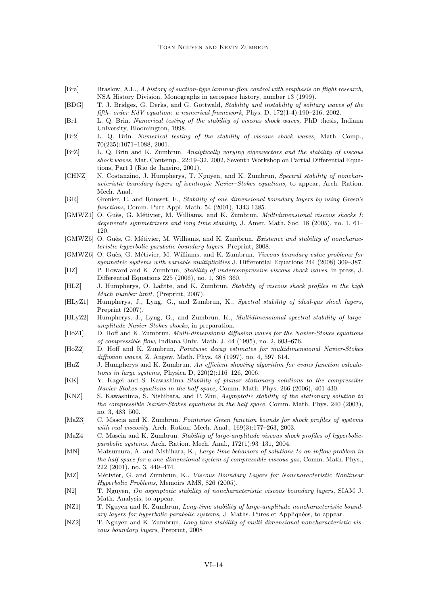- [Bra] Braslow, A.L., A history of suction-type laminar-flow control with emphasis on flight research, NSA History Division, Monographs in aerospace history, number 13 (1999).
- [BDG] T. J. Bridges, G. Derks, and G. Gottwald, Stability and instability of solitary waves of the fifth- order KdV equation: a numerical framework, Phys. D, 172(1-4):190–216, 2002.
- [Br1] L. Q. Brin. Numerical testing of the stability of viscous shock waves, PhD thesis, Indiana University, Bloomington, 1998.
- [Br2] L. Q. Brin. Numerical testing of the stability of viscous shock waves, Math. Comp., 70(235):1071–1088, 2001.
- [BrZ] L. Q. Brin and K. Zumbrun. Analytically varying eigenvectors and the stability of viscous shock waves, Mat. Contemp., 22:19–32, 2002, Seventh Workshop on Partial Differential Equations, Part I (Rio de Janeiro, 2001).
- [CHNZ] N. Costanzino, J. Humpherys, T. Nguyen, and K. Zumbrun, Spectral stability of noncharacteristic boundary layers of isentropic Navier–Stokes equations, to appear, Arch. Ration. Mech. Anal.
- [GR] Grenier, E. and Rousset, F., Stability of one dimensional boundary layers by using Green's functions, Comm. Pure Appl. Math. 54 (2001), 1343-1385.
- [GMWZ1] O. Guès, G. Métivier, M. Williams, and K. Zumbrun. *Multidimensional viscous shocks I:* degenerate symmetrizers and long time stability, J. Amer. Math. Soc. 18 (2005), no. 1, 61– 120.
- [GMWZ5] O. Guès, G. Métivier, M. Williams, and K. Zumbrun. Existence and stability of noncharacteristic hyperbolic-parabolic boundary-layers. Preprint, 2008.
- [GMWZ6] O. Guès, G. Métivier, M. Williams, and K. Zumbrun. Viscous boundary value problems for symmetric systems with variable multiplicities J. Differential Equations 244 (2008) 309–387.
- [HZ] P. Howard and K. Zumbrun, Stability of undercompressive viscous shock waves, in press, J. Differential Equations 225 (2006), no. 1, 308–360.
- [HLZ] J. Humpherys, O. Lafitte, and K. Zumbrun. Stability of viscous shock profiles in the high Mach number limit, (Preprint, 2007).
- [HLyZ1] Humpherys, J., Lyng, G., and Zumbrun, K., Spectral stability of ideal-gas shock layers, Preprint (2007).
- [HLyZ2] Humpherys, J., Lyng, G., and Zumbrun, K., *Multidimensional spectral stability of large*amplitude Navier-Stokes shocks, in preparation.
- [HoZ1] D. Hoff and K. Zumbrun, Multi-dimensional diffusion waves for the Navier-Stokes equations of compressible flow, Indiana Univ. Math. J. 44 (1995), no. 2, 603–676.
- [HoZ2] D. Hoff and K. Zumbrun, Pointwise decay estimates for multidimensional Navier-Stokes diffusion waves, Z. Angew. Math. Phys. 48 (1997), no. 4, 597–614.
- [HuZ] J. Humpherys and K. Zumbrun. An efficient shooting algorithm for evans function calculations in large systems, Physica D, 220(2):116–126, 2006.
- [KK] Y. Kagei and S. Kawashima Stability of planar stationary solutions to the compressible Navier-Stokes equations in the half space, Comm. Math. Phys. 266 (2006), 401-430.
- [KNZ] S. Kawashima, S. Nishibata, and P. Zhu, Asymptotic stability of the stationary solution to the compressible Navier-Stokes equations in the half space, Comm. Math. Phys. 240 (2003), no. 3, 483–500.
- [MaZ3] C. Mascia and K. Zumbrun. Pointwise Green function bounds for shock profiles of systems with real viscosity. Arch. Ration. Mech. Anal., 169(3):177–263, 2003.
- [MaZ4] C. Mascia and K. Zumbrun. Stability of large-amplitude viscous shock profiles of hyperbolicparabolic systems. Arch. Ration. Mech. Anal., 172(1):93–131, 2004.
- [MN] Matsumura, A. and Nishihara, K., Large-time behaviors of solutions to an inflow problem in the half space for a one-dimensional system of compressible viscous gas, Comm. Math. Phys., 222 (2001), no. 3, 449–474.
- [MZ] Métivier, G. and Zumbrun, K., Viscous Boundary Layers for Noncharacteristic Nonlinear Hyperbolic Problems, Memoirs AMS, 826 (2005).
- [N2] T. Nguyen, On asymptotic stability of noncharacteristic viscous boundary layers, SIAM J. Math. Analysis, to appear.
- [NZ1] T. Nguyen and K. Zumbrun, Long-time stability of large-amplitude noncharacteristic boundary layers for hyperbolic-parabolic systems, J. Maths. Pures et Appliquées, to appear.
- [NZ2] T. Nguyen and K. Zumbrun, Long-time stability of multi-dimensional noncharacteristic viscous boundary layers, Preprint, 2008